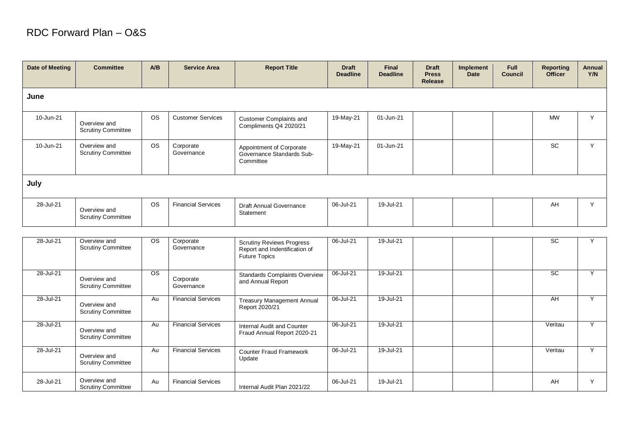## RDC Forward Plan – O&S

| Date of Meeting | <b>Committee</b>                          | A/B       | <b>Service Area</b>       | <b>Report Title</b>                                                                       | <b>Draft</b><br><b>Deadline</b> | <b>Final</b><br><b>Deadline</b> | <b>Draft</b><br><b>Press</b><br><b>Release</b> | Implement<br><b>Date</b> | <b>Full</b><br><b>Council</b> | <b>Reporting</b><br><b>Officer</b> | Annual<br>Y/N |
|-----------------|-------------------------------------------|-----------|---------------------------|-------------------------------------------------------------------------------------------|---------------------------------|---------------------------------|------------------------------------------------|--------------------------|-------------------------------|------------------------------------|---------------|
| June            |                                           |           |                           |                                                                                           |                                 |                                 |                                                |                          |                               |                                    |               |
| 10-Jun-21       | Overview and<br><b>Scrutiny Committee</b> | <b>OS</b> | <b>Customer Services</b>  | <b>Customer Complaints and</b><br>Compliments Q4 2020/21                                  | 19-May-21                       | 01-Jun-21                       |                                                |                          |                               | <b>MW</b>                          | Y             |
| 10-Jun-21       | Overview and<br><b>Scrutiny Committee</b> | <b>OS</b> | Corporate<br>Governance   | Appointment of Corporate<br>Governance Standards Sub-<br>Committee                        | 19-May-21                       | 01-Jun-21                       |                                                |                          |                               | <b>SC</b>                          | Y             |
| July            |                                           |           |                           |                                                                                           |                                 |                                 |                                                |                          |                               |                                    |               |
| 28-Jul-21       | Overview and<br><b>Scrutiny Committee</b> | <b>OS</b> | <b>Financial Services</b> | <b>Draft Annual Governance</b><br>Statement                                               | 06-Jul-21                       | 19-Jul-21                       |                                                |                          |                               | AH                                 | Y             |
|                 |                                           |           |                           |                                                                                           |                                 |                                 |                                                |                          |                               |                                    |               |
| 28-Jul-21       | Overview and<br><b>Scrutiny Committee</b> | <b>OS</b> | Corporate<br>Governance   | <b>Scrutiny Reviews Progress</b><br>Report and Indentification of<br><b>Future Topics</b> | 06-Jul-21                       | 19-Jul-21                       |                                                |                          |                               | $\overline{SC}$                    | Y             |
| 28-Jul-21       | Overview and<br><b>Scrutiny Committee</b> | OS.       | Corporate<br>Governance   | <b>Standards Complaints Overview</b><br>and Annual Report                                 | 06-Jul-21                       | 19-Jul-21                       |                                                |                          |                               | $\overline{SC}$                    | Y             |

|           |                                           |           |                           | <b>NEPUIL AND MUSHME AND DETERMINED AND</b><br><b>Future Topics</b> |           |           |  |         |           |
|-----------|-------------------------------------------|-----------|---------------------------|---------------------------------------------------------------------|-----------|-----------|--|---------|-----------|
| 28-Jul-21 | Overview and<br><b>Scrutiny Committee</b> | <b>OS</b> | Corporate<br>Governance   | <b>Standards Complaints Overview</b><br>and Annual Report           | 06-Jul-21 | 19-Jul-21 |  | SC.     | $\vee$    |
| 28-Jul-21 | Overview and<br><b>Scrutiny Committee</b> | Au        | <b>Financial Services</b> | Treasury Management Annual<br>Report 2020/21                        | 06-Jul-21 | 19-Jul-21 |  | AH      | $\vee$    |
| 28-Jul-21 | Overview and<br><b>Scrutiny Committee</b> | Au        | <b>Financial Services</b> | Internal Audit and Counter<br>Fraud Annual Report 2020-21           | 06-Jul-21 | 19-Jul-21 |  | Veritau | $\vee$    |
| 28-Jul-21 | Overview and<br><b>Scrutiny Committee</b> | Au        | <b>Financial Services</b> | <b>Counter Fraud Framework</b><br>Update                            | 06-Jul-21 | 19-Jul-21 |  | Veritau | $\vee$    |
| 28-Jul-21 | Overview and<br><b>Scrutiny Committee</b> | Au        | <b>Financial Services</b> | Internal Audit Plan 2021/22                                         | 06-Jul-21 | 19-Jul-21 |  | AH      | $\lambda$ |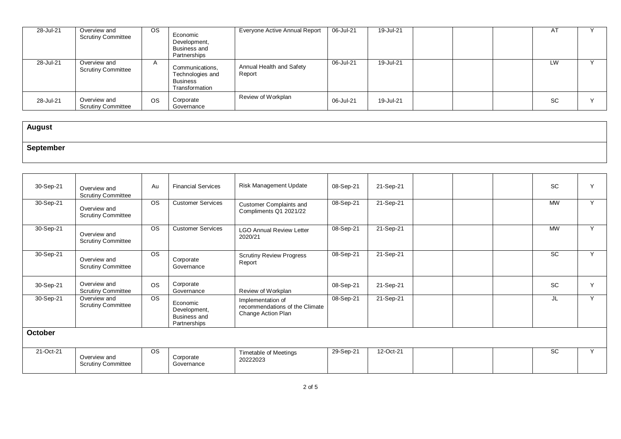| 28-Jul-21 | Overview and<br><b>Scrutiny Committee</b> | OS.       | Economic<br>Development,<br>Business and<br>Partnerships                 | Everyone Active Annual Report      | 06-Jul-21 | 19-Jul-21 |  | AT        |  |
|-----------|-------------------------------------------|-----------|--------------------------------------------------------------------------|------------------------------------|-----------|-----------|--|-----------|--|
| 28-Jul-21 | Overview and<br><b>Scrutiny Committee</b> |           | Communications,<br>Technologies and<br><b>Business</b><br>Transformation | Annual Health and Safety<br>Report | 06-Jul-21 | 19-Jul-21 |  | LW        |  |
| 28-Jul-21 | Overview and<br><b>Scrutiny Committee</b> | <b>OS</b> | Corporate<br>Governance                                                  | Review of Workplan                 | 06-Jul-21 | 19-Jul-21 |  | <b>SC</b> |  |

| <b>August</b> |  |
|---------------|--|
| ≧antamh       |  |

| 30-Sep-21      | Overview and                                                           | Au              | <b>Financial Services</b>                                       | Risk Management Update                                                    | 08-Sep-21 | 21-Sep-21 |  | <b>SC</b> | Y |
|----------------|------------------------------------------------------------------------|-----------------|-----------------------------------------------------------------|---------------------------------------------------------------------------|-----------|-----------|--|-----------|---|
| 30-Sep-21      | <b>Scrutiny Committee</b><br>Overview and<br><b>Scrutiny Committee</b> | <b>OS</b>       | <b>Customer Services</b>                                        | <b>Customer Complaints and</b><br>Compliments Q1 2021/22                  | 08-Sep-21 | 21-Sep-21 |  | <b>MW</b> | Y |
| 30-Sep-21      | Overview and<br><b>Scrutiny Committee</b>                              | <b>OS</b>       | <b>Customer Services</b>                                        | <b>LGO Annual Review Letter</b><br>2020/21                                | 08-Sep-21 | 21-Sep-21 |  | <b>MW</b> | Y |
| 30-Sep-21      | Overview and<br><b>Scrutiny Committee</b>                              | OS.             | Corporate<br>Governance                                         | <b>Scrutiny Review Progress</b><br>Report                                 | 08-Sep-21 | 21-Sep-21 |  | <b>SC</b> | Y |
| 30-Sep-21      | Overview and<br><b>Scrutiny Committee</b>                              | <b>OS</b>       | Corporate<br>Governance                                         | Review of Workplan                                                        | 08-Sep-21 | 21-Sep-21 |  | <b>SC</b> | Y |
| 30-Sep-21      | Overview and<br><b>Scrutiny Committee</b>                              | $\overline{OS}$ | Economic<br>Development,<br><b>Business and</b><br>Partnerships | Implementation of<br>recommendations of the Climate<br>Change Action Plan | 08-Sep-21 | 21-Sep-21 |  | JL        | Y |
| <b>October</b> |                                                                        |                 |                                                                 |                                                                           |           |           |  |           |   |
| 21-Oct-21      | Overview and<br><b>Scrutiny Committee</b>                              | OS.             | Corporate<br>Governance                                         | Timetable of Meetings<br>20222023                                         | 29-Sep-21 | 12-Oct-21 |  | <b>SC</b> | Y |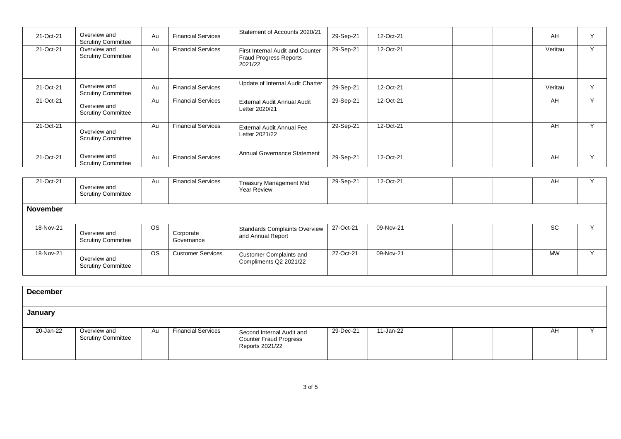| 21-Oct-21 | Overview and<br><b>Scrutiny Committee</b> | Au | <b>Financial Services</b> | Statement of Accounts 2020/21                                                | 29-Sep-21 | 12-Oct-21 |  | AH      | $\mathbf{v}$ |
|-----------|-------------------------------------------|----|---------------------------|------------------------------------------------------------------------------|-----------|-----------|--|---------|--------------|
| 21-Oct-21 | Overview and<br><b>Scrutiny Committee</b> | Au | <b>Financial Services</b> | First Internal Audit and Counter<br><b>Fraud Progress Reports</b><br>2021/22 | 29-Sep-21 | 12-Oct-21 |  | Veritau |              |
| 21-Oct-21 | Overview and<br><b>Scrutiny Committee</b> | Au | <b>Financial Services</b> | Update of Internal Audit Charter                                             | 29-Sep-21 | 12-Oct-21 |  | Veritau | $\mathbf{v}$ |
| 21-Oct-21 | Overview and<br><b>Scrutiny Committee</b> | Au | <b>Financial Services</b> | External Audit Annual Audit<br>Letter 2020/21                                | 29-Sep-21 | 12-Oct-21 |  | AH      | $\vee$       |
| 21-Oct-21 | Overview and<br><b>Scrutiny Committee</b> | Au | <b>Financial Services</b> | <b>External Audit Annual Fee</b><br>Letter 2021/22                           | 29-Sep-21 | 12-Oct-21 |  | AH      | $\vee$       |
| 21-Oct-21 | Overview and<br><b>Scrutiny Committee</b> | Au | <b>Financial Services</b> | Annual Governance Statement                                                  | 29-Sep-21 | 12-Oct-21 |  | AH      | $\checkmark$ |

| 21-Oct-21       | Overview and<br><b>Scrutiny Committee</b> | Au        | <b>Financial Services</b> | Treasury Management Mid<br><b>Year Review</b>             | 29-Sep-21 | 12-Oct-21 |  | AH        |  |
|-----------------|-------------------------------------------|-----------|---------------------------|-----------------------------------------------------------|-----------|-----------|--|-----------|--|
| <b>November</b> |                                           |           |                           |                                                           |           |           |  |           |  |
| 18-Nov-21       | Overview and<br><b>Scrutiny Committee</b> | <b>OS</b> | Corporate<br>Governance   | <b>Standards Complaints Overview</b><br>and Annual Report | 27-Oct-21 | 09-Nov-21 |  | <b>SC</b> |  |
| 18-Nov-21       | Overview and<br><b>Scrutiny Committee</b> | <b>OS</b> | <b>Customer Services</b>  | <b>Customer Complaints and</b><br>Compliments Q2 2021/22  | 27-Oct-21 | 09-Nov-21 |  | <b>MW</b> |  |

| <b>December</b> |                                           |    |                           |                                                                               |           |           |  |    |  |
|-----------------|-------------------------------------------|----|---------------------------|-------------------------------------------------------------------------------|-----------|-----------|--|----|--|
| January         |                                           |    |                           |                                                                               |           |           |  |    |  |
| 20-Jan-22       | Overview and<br><b>Scrutiny Committee</b> | Au | <b>Financial Services</b> | Second Internal Audit and<br><b>Counter Fraud Progress</b><br>Reports 2021/22 | 29-Dec-21 | 11-Jan-22 |  | AH |  |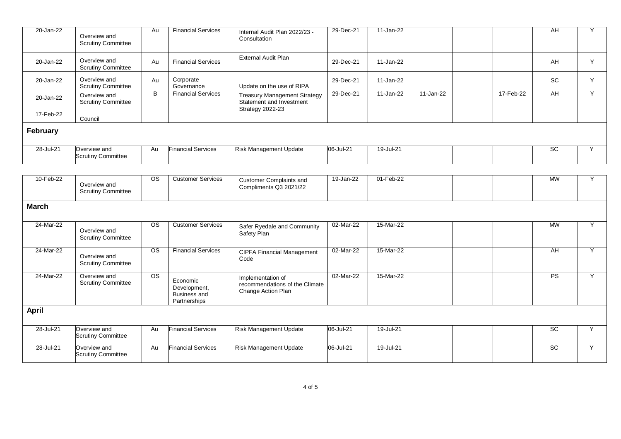| 20-Jan-22    | Overview and<br><b>Scrutiny Committee</b> | Au | Financial Services        | Internal Audit Plan 2022/23 -<br>Consultation                                              | 29-Dec-21 | 11-Jan-22 |           |           | AH        | Y |
|--------------|-------------------------------------------|----|---------------------------|--------------------------------------------------------------------------------------------|-----------|-----------|-----------|-----------|-----------|---|
| 20-Jan-22    | Overview and<br><b>Scrutiny Committee</b> | Au | <b>Financial Services</b> | External Audit Plan                                                                        | 29-Dec-21 | 11-Jan-22 |           |           | AH        | Y |
| 20-Jan-22    | Overview and<br><b>Scrutiny Committee</b> | Au | Corporate<br>Governance   | Update on the use of RIPA                                                                  | 29-Dec-21 | 11-Jan-22 |           |           | <b>SC</b> | Y |
| 20-Jan-22    | Overview and<br><b>Scrutiny Committee</b> | B  | <b>Financial Services</b> | <b>Treasury Management Strategy</b><br>Statement and Investment<br><b>Strategy 2022-23</b> | 29-Dec-21 | 11-Jan-22 | 11-Jan-22 | 17-Feb-22 | AH        | Y |
| 17-Feb-22    | Council                                   |    |                           |                                                                                            |           |           |           |           |           |   |
| February     |                                           |    |                           |                                                                                            |           |           |           |           |           |   |
| 28-Jul-21    | Overview and<br><b>Scrutiny Committee</b> | Au | <b>Financial Services</b> | <b>Risk Management Update</b>                                                              | 06-Jul-21 | 19-Jul-21 |           |           | SC        | Y |
|              |                                           |    |                           |                                                                                            |           |           |           |           |           |   |
| 10-Feb-22    | Overview and<br><b>Scrutiny Committee</b> | OS | <b>Customer Services</b>  | <b>Customer Complaints and</b><br>Compliments Q3 2021/22                                   | 19-Jan-22 | 01-Feb-22 |           |           | <b>MW</b> | Y |
| <b>March</b> |                                           |    |                           |                                                                                            |           |           |           |           |           |   |

| 24-Mar-22    | Overview and<br><b>Scrutiny Committee</b> | <b>OS</b>      | <b>Customer Services</b>                                        | Safer Ryedale and Community<br>Safety Plan                                | 02-Mar-22 | 15-Mar-22 |  | <b>MW</b> | $\sqrt{}$ |
|--------------|-------------------------------------------|----------------|-----------------------------------------------------------------|---------------------------------------------------------------------------|-----------|-----------|--|-----------|-----------|
| 24-Mar-22    | Overview and<br><b>Scrutiny Committee</b> | <b>OS</b>      | <b>Financial Services</b>                                       | <b>CIPFA Financial Management</b><br>Code                                 | 02-Mar-22 | 15-Mar-22 |  | AH        |           |
| 24-Mar-22    | Overview and<br><b>Scrutiny Committee</b> | O <sub>S</sub> | Economic<br>Development,<br><b>Business and</b><br>Partnerships | Implementation of<br>recommendations of the Climate<br>Change Action Plan | 02-Mar-22 | 15-Mar-22 |  | <b>PS</b> | $\lambda$ |
| <b>April</b> |                                           |                |                                                                 |                                                                           |           |           |  |           |           |
| 28-Jul-21    | Overview and<br><b>Scrutiny Committee</b> | Au             | <b>Financial Services</b>                                       | <b>Risk Management Update</b>                                             | 06-Jul-21 | 19-Jul-21 |  | <b>SC</b> |           |
| 28-Jul-21    | Overview and<br><b>Scrutiny Committee</b> | Au             | <b>Financial Services</b>                                       | <b>Risk Management Update</b>                                             | 06-Jul-21 | 19-Jul-21 |  | <b>SC</b> |           |